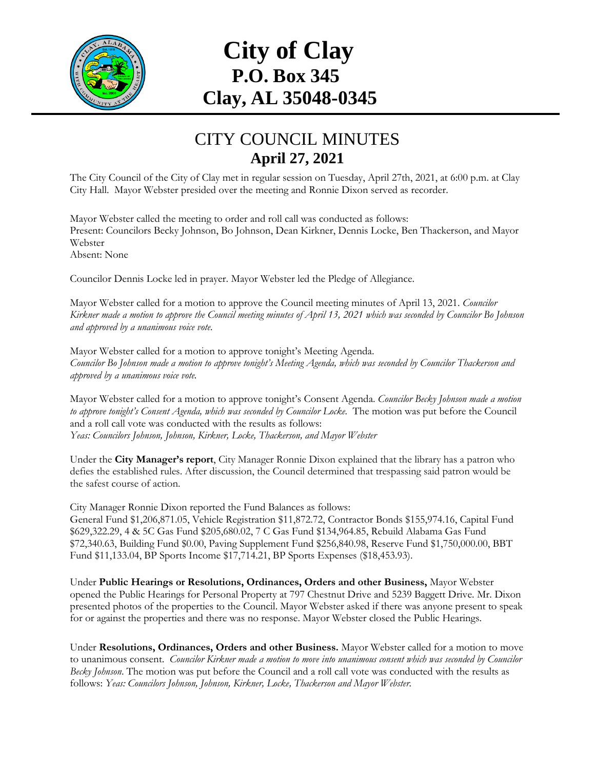

## **City of Clay P.O. Box 345 Clay, AL 35048-0345**

## CITY COUNCIL MINUTES **April 27, 2021**

The City Council of the City of Clay met in regular session on Tuesday, April 27th, 2021, at 6:00 p.m. at Clay City Hall. Mayor Webster presided over the meeting and Ronnie Dixon served as recorder.

Mayor Webster called the meeting to order and roll call was conducted as follows: Present: Councilors Becky Johnson, Bo Johnson, Dean Kirkner, Dennis Locke, Ben Thackerson, and Mayor Webster Absent: None

Councilor Dennis Locke led in prayer. Mayor Webster led the Pledge of Allegiance.

Mayor Webster called for a motion to approve the Council meeting minutes of April 13, 2021. *Councilor Kirkner made a motion to approve the Council meeting minutes of April 13, 2021 which was seconded by Councilor Bo Johnson and approved by a unanimous voice vote.*

Mayor Webster called for a motion to approve tonight's Meeting Agenda. *Councilor Bo Johnson made a motion to approve tonight's Meeting Agenda, which was seconded by Councilor Thackerson and approved by a unanimous voice vote.*

Mayor Webster called for a motion to approve tonight's Consent Agenda. *Councilor Becky Johnson made a motion*  to approve tonight's Consent Agenda, which was seconded by Councilor Locke. The motion was put before the Council and a roll call vote was conducted with the results as follows: *Yeas: Councilors Johnson, Johnson, Kirkner, Locke, Thackerson, and Mayor Webster*

Under the **City Manager's report**, City Manager Ronnie Dixon explained that the library has a patron who defies the established rules. After discussion, the Council determined that trespassing said patron would be the safest course of action.

City Manager Ronnie Dixon reported the Fund Balances as follows:

General Fund \$1,206,871.05, Vehicle Registration \$11,872.72, Contractor Bonds \$155,974.16, Capital Fund \$629,322.29, 4 & 5C Gas Fund \$205,680.02, 7 C Gas Fund \$134,964.85, Rebuild Alabama Gas Fund \$72,340.63, Building Fund \$0.00, Paving Supplement Fund \$256,840.98, Reserve Fund \$1,750,000.00, BBT Fund \$11,133.04, BP Sports Income \$17,714.21, BP Sports Expenses (\$18,453.93).

Under **Public Hearings or Resolutions, Ordinances, Orders and other Business,** Mayor Webster opened the Public Hearings for Personal Property at 797 Chestnut Drive and 5239 Baggett Drive. Mr. Dixon presented photos of the properties to the Council. Mayor Webster asked if there was anyone present to speak for or against the properties and there was no response. Mayor Webster closed the Public Hearings.

Under **Resolutions, Ordinances, Orders and other Business.** Mayor Webster called for a motion to move to unanimous consent. *Councilor Kirkner made a motion to move into unanimous consent which was seconded by Councilor Becky Johnson*. The motion was put before the Council and a roll call vote was conducted with the results as follows: *Yeas: Councilors Johnson, Johnson, Kirkner, Locke, Thackerson and Mayor Webster.*